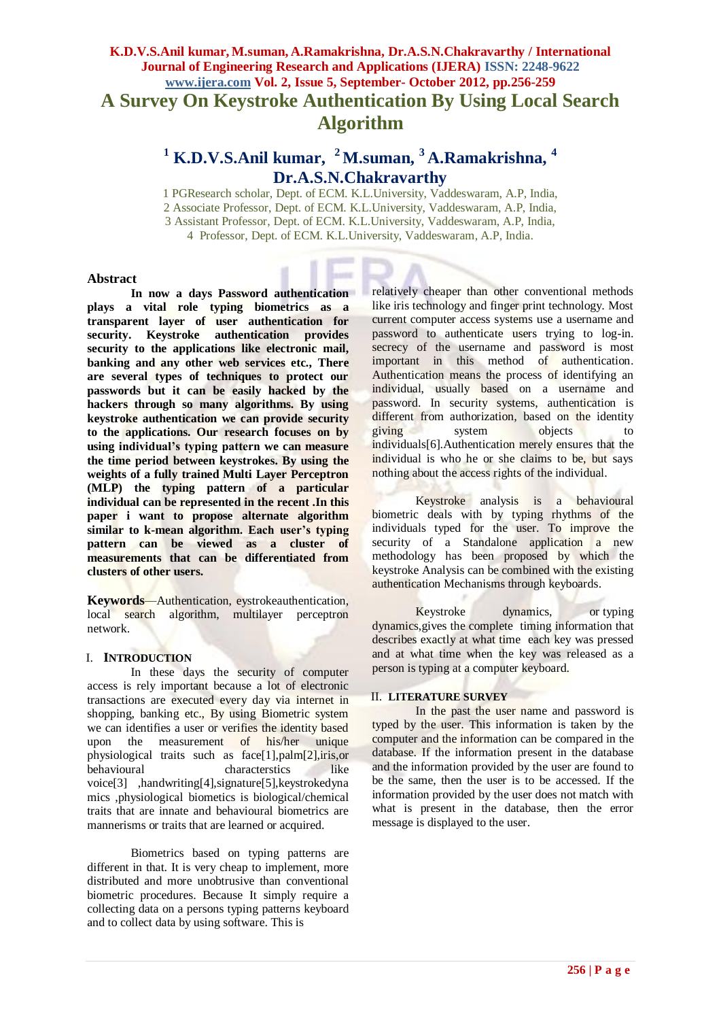## **K.D.V.S.Anil kumar, M.suman, A.Ramakrishna, Dr.A.S.N.Chakravarthy / International Journal of Engineering Research and Applications (IJERA) ISSN: 2248-9622 www.ijera.com Vol. 2, Issue 5, September- October 2012, pp.256-259 A Survey On Keystroke Authentication By Using Local Search Algorithm**

# **<sup>1</sup> K.D.V.S.Anil kumar, <sup>2</sup>M.suman, <sup>3</sup>A.Ramakrishna, <sup>4</sup> Dr.A.S.N.Chakravarthy**

1 PGResearch scholar, Dept. of ECM. K.L.University, Vaddeswaram, A.P, India, 2 Associate Professor, Dept. of ECM. K.L.University, Vaddeswaram, A.P, India, 3 Assistant Professor, Dept. of ECM. K.L.University, Vaddeswaram, A.P, India, 4 Professor, Dept. of ECM. K.L.University, Vaddeswaram, A.P, India.

#### **Abstract**

**In now a days Password authentication plays a vital role typing biometrics as a transparent layer of user authentication for security. Keystroke authentication provides security to the applications like electronic mail, banking and any other web services etc., There are several types of techniques to protect our passwords but it can be easily hacked by the hackers through so many algorithms. By using keystroke authentication we can provide security to the applications. Our research focuses on by using individual's typing pattern we can measure the time period between keystrokes. By using the weights of a fully trained Multi Layer Perceptron (MLP) the typing pattern of a particular individual can be represented in the recent .In this paper i want to propose alternate algorithm similar to k-mean algorithm. Each user's typing pattern can be viewed as a cluster of measurements that can be differentiated from clusters of other users.** 

**Keywords***—*Authentication, eystrokeauthentication, local search algorithm, multilayer perceptron network.

#### I. **INTRODUCTION**

In these days the security of computer access is rely important because a lot of electronic transactions are executed every day via internet in shopping, banking etc., By using Biometric system we can identifies a user or verifies the identity based upon the measurement of his/her unique physiological traits such as face[1],palm[2],iris,or behavioural characterstics like voice[3] ,handwriting[4],signature[5],keystrokedyna mics ,physiological biometics is biological/chemical traits that are innate and behavioural biometrics are mannerisms or traits that are learned or acquired.

Biometrics based on typing patterns are different in that. It is very cheap to implement, more distributed and more unobtrusive than conventional biometric procedures. Because It simply require a collecting data on a persons typing patterns keyboard and to collect data by using software. This is

relatively cheaper than other conventional methods like iris technology and finger print technology. Most current computer access systems use a username and password to authenticate users trying to log-in. secrecy of the username and password is most important in this method of authentication. Authentication means the process of identifying an individual, usually based on a username and password. In security systems, authentication is different from authorization*,* based on the identity giving system objects to individuals[6].Authentication merely ensures that the individual is who he or she claims to be, but says nothing about the access rights of the individual.

Keystroke analysis is a behavioural biometric deals with by typing rhythms of the individuals typed for the user. To improve the security of a Standalone application a new methodology has been proposed by which the keystroke Analysis can be combined with the existing authentication Mechanisms through keyboards.

Keystroke dynamics, or typing dynamics,gives the complete timing information that describes exactly at what time each key was pressed and at what time when the key was released as a person is typing at a computer keyboard.

#### II. **LITERATURE SURVEY**

In the past the user name and password is typed by the user. This information is taken by the computer and the information can be compared in the database. If the information present in the database and the information provided by the user are found to be the same, then the user is to be accessed. If the information provided by the user does not match with what is present in the database, then the error message is displayed to the user.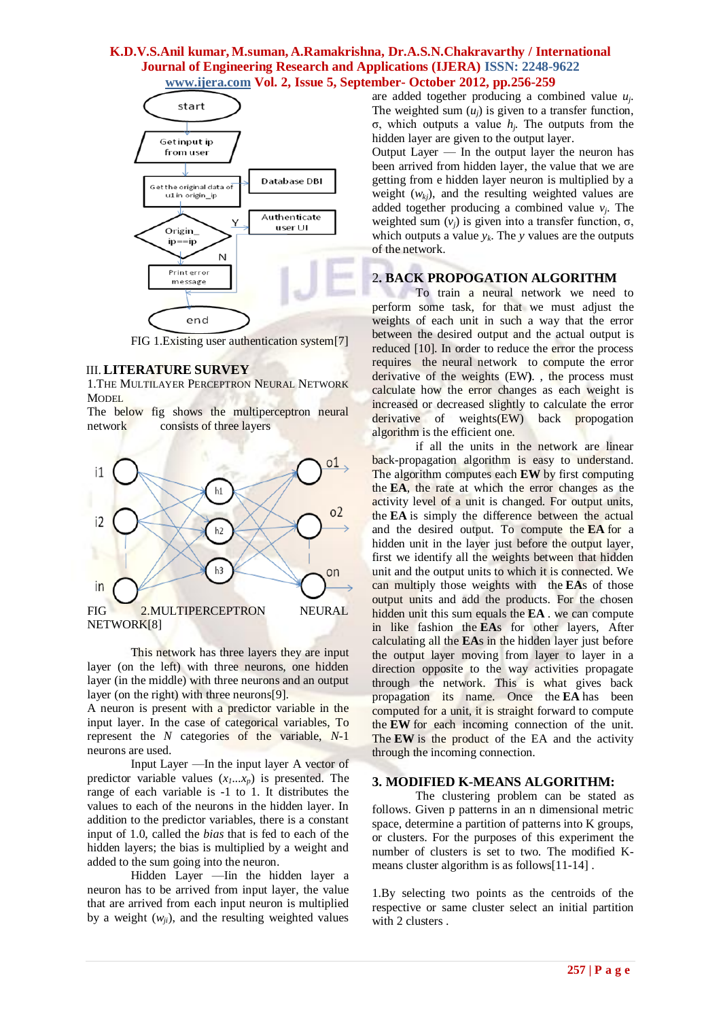## **K.D.V.S.Anil kumar, M.suman, A.Ramakrishna, Dr.A.S.N.Chakravarthy / International Journal of Engineering Research and Applications (IJERA) ISSN: 2248-9622 www.ijera.com Vol. 2, Issue 5, September- October 2012, pp.256-259**



FIG 1.Existing user authentication system[7]

#### III.**LITERATURE SURVEY**

1.THE MULTILAYER PERCEPTRON NEURAL NETWORK **MODEL** 

The below fig shows the multiperceptron neural network consists of three layers



This network has three layers they are input layer (on the left) with three neurons, one hidden layer (in the middle) with three neurons and an output layer (on the right) with three neurons[9].

A neuron is present with a predictor variable in the input layer. In the case of categorical variables, To represent the *N* categories of the variable, *N*-1 neurons are used.

Input Layer —In the input layer A vector of predictor variable values  $(x_1, \ldots, x_n)$  is presented. The range of each variable is -1 to 1. It distributes the values to each of the neurons in the hidden layer. In addition to the predictor variables, there is a constant input of 1.0, called the *bias* that is fed to each of the hidden layers; the bias is multiplied by a weight and added to the sum going into the neuron.

Hidden Layer —Iin the hidden layer a neuron has to be arrived from input layer, the value that are arrived from each input neuron is multiplied by a weight  $(w_{ij})$ , and the resulting weighted values

are added together producing a combined value *u<sup>j</sup>* . The weighted sum  $(u_i)$  is given to a transfer function, σ, which outputs a value *h<sup>j</sup>* . The outputs from the hidden layer are given to the output layer.

Output Layer — In the output layer the neuron has been arrived from hidden layer, the value that we are getting from e hidden layer neuron is multiplied by a weight (*wkj*), and the resulting weighted values are added together producing a combined value  $v_j$ . The weighted sum  $(v_i)$  is given into a transfer function,  $\sigma$ , which outputs a value  $y_k$ . The *y* values are the outputs of the network.

## 2**. BACK PROPOGATION ALGORITHM**

To train a neural network we need to perform some task, for that we must adjust the weights of each unit in such a way that the error between the desired output and the actual output is reduced [10]. In order to reduce the error the process requires the neural network to compute the error derivative of the weights (EW**)**. , the process must calculate how the error changes as each weight is increased or decreased slightly to calculate the error derivative of weights(EW) back propogation algorithm is the efficient one.

if all the units in the network are linear back-propagation algorithm is easy to understand. The algorithm computes each **EW** by first computing the **EA**, the rate at which the error changes as the activity level of a unit is changed. For output units, the **EA** is simply the difference between the actual and the desired output. To compute the **EA** for a hidden unit in the layer just before the output layer, first we identify all the weights between that hidden unit and the output units to which it is connected. We can multiply those weights with the **EA**s of those output units and add the products. For the chosen hidden unit this sum equals the **EA** . we can compute in like fashion the **EA**s for other layers, After calculating all the **EA**s in the hidden layer just before the output layer moving from layer to layer in a direction opposite to the way activities propagate through the network. This is what gives back propagation its name. Once the **EA** has been computed for a unit, it is straight forward to compute the **EW** for each incoming connection of the unit. The **EW** is the product of the EA and the activity through the incoming connection.

#### **3. MODIFIED K-MEANS ALGORITHM:**

The clustering problem can be stated as follows. Given p patterns in an n dimensional metric space, determine a partition of patterns into K groups, or clusters. For the purposes of this experiment the number of clusters is set to two. The modified Kmeans cluster algorithm is as follows[11-14] .

1.By selecting two points as the centroids of the respective or same cluster select an initial partition with 2 clusters .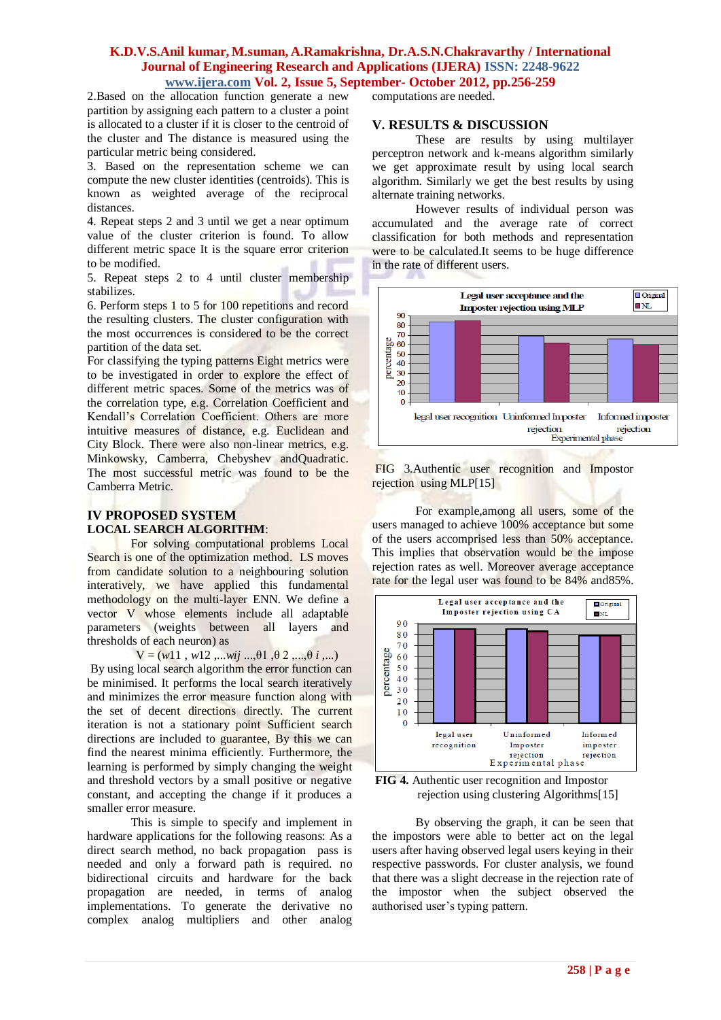#### **K.D.V.S.Anil kumar, M.suman, A.Ramakrishna, Dr.A.S.N.Chakravarthy / International Journal of Engineering Research and Applications (IJERA) ISSN: 2248-9622 www.ijera.com Vol. 2, Issue 5, September- October 2012, pp.256-259**

2.Based on the allocation function generate a new partition by assigning each pattern to a cluster a point is allocated to a cluster if it is closer to the centroid of the cluster and The distance is measured using the particular metric being considered.

3. Based on the representation scheme we can compute the new cluster identities (centroids). This is known as weighted average of the reciprocal distances.

4. Repeat steps 2 and 3 until we get a near optimum value of the cluster criterion is found. To allow different metric space It is the square error criterion to be modified.

5. Repeat steps 2 to 4 until cluster membership stabilizes.

6. Perform steps 1 to 5 for 100 repetitions and record the resulting clusters. The cluster configuration with the most occurrences is considered to be the correct partition of the data set.

For classifying the typing patterns Eight metrics were to be investigated in order to explore the effect of different metric spaces. Some of the metrics was of the correlation type, e.g. Correlation Coefficient and Kendall"s Correlation Coefficient. Others are more intuitive measures of distance, e.g. Euclidean and City Block. There were also non-linear metrics, e.g. Minkowsky, Camberra, Chebyshev andQuadratic. The most successful metric was found to be the Camberra Metric.

## **IV PROPOSED SYSTEM LOCAL SEARCH ALGORITHM**:

For solving computational problems Local Search is one of the optimization method. LS moves from candidate solution to a neighbouring solution interatively, we have applied this fundamental methodology on the multi-layer ENN. We define a vector V whose elements include all adaptable parameters (weights between all layers and thresholds of each neuron) as

 $V = (w11, w12, \ldots wij \ldots, \theta1, \theta2, \ldots, \theta i, \ldots)$ 

By using local search algorithm the error function can be minimised. It performs the local search iteratively and minimizes the error measure function along with the set of decent directions directly. The current iteration is not a stationary point Sufficient search directions are included to guarantee, By this we can find the nearest minima efficiently. Furthermore, the learning is performed by simply changing the weight and threshold vectors by a small positive or negative constant, and accepting the change if it produces a smaller error measure.

This is simple to specify and implement in hardware applications for the following reasons: As a direct search method, no back propagation pass is needed and only a forward path is required. no bidirectional circuits and hardware for the back propagation are needed, in terms of analog implementations. To generate the derivative no complex analog multipliers and other analog computations are needed.

## **V. RESULTS & DISCUSSION**

These are results by using multilayer perceptron network and k-means algorithm similarly we get approximate result by using local search algorithm. Similarly we get the best results by using alternate training networks.

However results of individual person was accumulated and the average rate of correct classification for both methods and representation were to be calculated.It seems to be huge difference in the rate of different users.



FIG 3.Authentic user recognition and Impostor rejection using MLP[15]

For example,among all users, some of the users managed to achieve 100% acceptance but some of the users accomprised less than 50% acceptance. This implies that observation would be the impose rejection rates as well. Moreover average acceptance rate for the legal user was found to be 84% and85%.



**FIG 4.** Authentic user recognition and Impostor rejection using clustering Algorithms[15]

By observing the graph, it can be seen that the impostors were able to better act on the legal users after having observed legal users keying in their respective passwords. For cluster analysis, we found that there was a slight decrease in the rejection rate of the impostor when the subject observed the authorised user"s typing pattern.